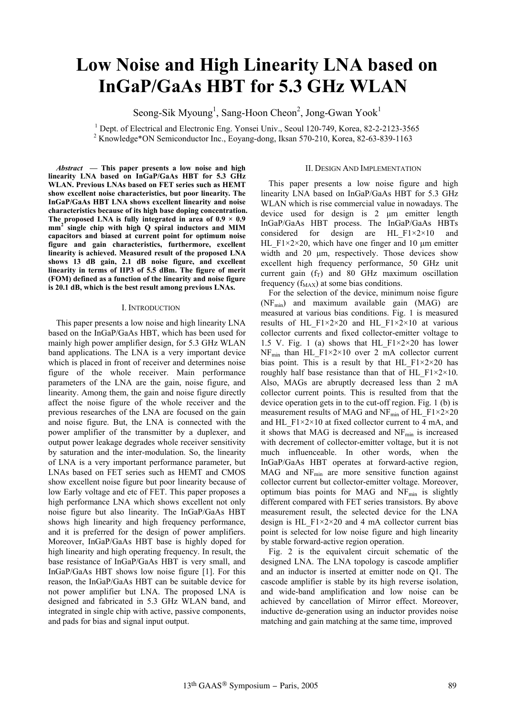# **Low Noise and High Linearity LNA based on InGaP/GaAs HBT for 5.3 GHz WLAN**

Seong-Sik Myoung<sup>1</sup>, Sang-Hoon Cheon<sup>2</sup>, Jong-Gwan Yook<sup>1</sup>

<sup>1</sup> Dept. of Electrical and Electronic Eng. Yonsei Univ., Seoul 120-749, Korea, 82-2-2123-3565 <sup>2</sup> Knowledge\*ON Semiconductor Inc., Eoyang-dong, Iksan 570-210, Korea, 82-63-839-1163

*Abstract* **— This paper presents a low noise and high linearity LNA based on InGaP/GaAs HBT for 5.3 GHz WLAN. Previous LNAs based on FET series such as HEMT show excellent noise characteristics, but poor linearity. The InGaP/GaAs HBT LNA shows excellent linearity and noise characteristics because of its high base doping concentration.**  The proposed LNA is fully integrated in area of  $0.9 \times 0.9$ **mm<sup>2</sup> single chip with high Q spiral inductors and MIM capacitors and biased at current point for optimum noise figure and gain characteristics, furthermore, excellent linearity is achieved. Measured result of the proposed LNA shows 13 dB gain, 2.1 dB noise figure, and excellent linearity in terms of IIP3 of 5.5 dBm. The figure of merit (FOM) defined as a function of the linearity and noise figure is 20.1 dB, which is the best result among previous LNAs.** 

# I. INTRODUCTION

This paper presents a low noise and high linearity LNA based on the InGaP/GaAs HBT, which has been used for mainly high power amplifier design, for 5.3 GHz WLAN band applications. The LNA is a very important device which is placed in front of receiver and determines noise figure of the whole receiver. Main performance parameters of the LNA are the gain, noise figure, and linearity. Among them, the gain and noise figure directly affect the noise figure of the whole receiver and the previous researches of the LNA are focused on the gain and noise figure. But, the LNA is connected with the power amplifier of the transmitter by a duplexer, and output power leakage degrades whole receiver sensitivity by saturation and the inter-modulation. So, the linearity of LNA is a very important performance parameter, but LNAs based on FET series such as HEMT and CMOS show excellent noise figure but poor linearity because of low Early voltage and etc of FET. This paper proposes a high performance LNA which shows excellent not only noise figure but also linearity. The InGaP/GaAs HBT shows high linearity and high frequency performance, and it is preferred for the design of power amplifiers. Moreover, InGaP/GaAs HBT base is highly doped for high linearity and high operating frequency. In result, the base resistance of InGaP/GaAs HBT is very small, and InGaP/GaAs HBT shows low noise figure [1]. For this reason, the InGaP/GaAs HBT can be suitable device for not power amplifier but LNA. The proposed LNA is designed and fabricated in 5.3 GHz WLAN band, and integrated in single chip with active, passive components, and pads for bias and signal input output.

### II. DESIGN AND IMPLEMENTATION

This paper presents a low noise figure and high linearity LNA based on InGaP/GaAs HBT for 5.3 GHz WLAN which is rise commercial value in nowadays. The device used for design is 2 µm emitter length InGaP/GaAs HBT process. The InGaP/GaAs HBTs considered for design are HL\_F1×2×10 and HL F1 $\times$ 2 $\times$ 20, which have one finger and 10 µm emitter width and 20  $\mu$ m, respectively. Those devices show excellent high frequency performance, 50 GHz unit current gain  $(f_T)$  and 80 GHz maximum oscillation frequency  $(f_{MAX})$  at some bias conditions.

For the selection of the device, minimum noise figure  $(NF_{min})$  and maximum available gain  $(MAG)$  are measured at various bias conditions. Fig. 1 is measured results of HL\_F1×2×20 and HL\_F1×2×10 at various collector currents and fixed collector-emitter voltage to 1.5 V. Fig. 1 (a) shows that HL  $F1\times2\times20$  has lower  $NF_{min}$  than HL F1×2×10 over 2 mA collector current bias point. This is a result by that HL  $F1\times2\times20$  has roughly half base resistance than that of HL  $F1\times2\times10$ . Also, MAGs are abruptly decreased less than 2 mA collector current points. This is resulted from that the device operation gets in to the cut-off region. Fig. 1 (b) is measurement results of MAG and NF<sub>min</sub> of HL F1×2×20 and HL  $F1\times2\times10$  at fixed collector current to 4 mA, and it shows that MAG is decreased and  $NF_{min}$  is increased with decrement of collector-emitter voltage, but it is not much influenceable. In other words, when the InGaP/GaAs HBT operates at forward-active region,  $MAG$  and  $NF_{min}$  are more sensitive function against collector current but collector-emitter voltage. Moreover, optimum bias points for MAG and  $NF_{min}$  is slightly different compared with FET series transistors. By above measurement result, the selected device for the LNA design is HL  $F1\times2\times20$  and 4 mA collector current bias point is selected for low noise figure and high linearity by stable forward-active region operation.

Fig. 2 is the equivalent circuit schematic of the designed LNA. The LNA topology is cascode amplifier and an inductor is inserted at emitter node on Q1. The cascode amplifier is stable by its high reverse isolation, and wide-band amplification and low noise can be achieved by cancellation of Mirror effect. Moreover, inductive de-generation using an inductor provides noise matching and gain matching at the same time, improved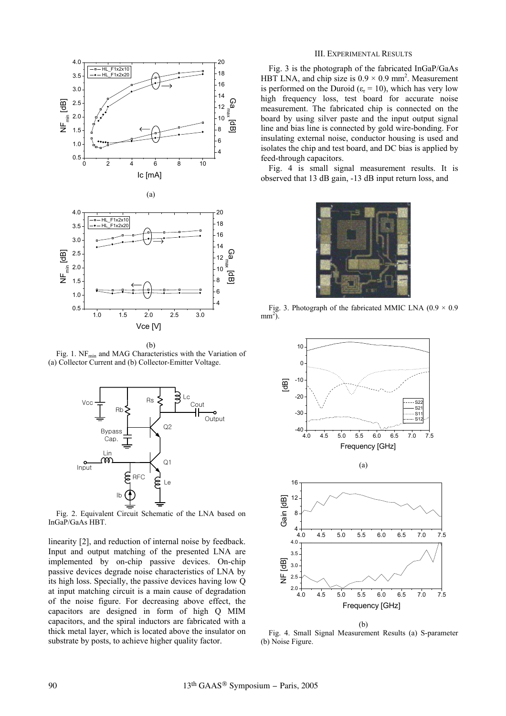





(b) Fig. 1.  $NF_{min}$  and MAG Characteristics with the Variation of (a) Collector Current and (b) Collector-Emitter Voltage.



Fig. 2. Equivalent Circuit Schematic of the LNA based on InGaP/GaAs HBT.

linearity [2], and reduction of internal noise by feedback. Input and output matching of the presented LNA are implemented by on-chip passive devices. On-chip passive devices degrade noise characteristics of LNA by its high loss. Specially, the passive devices having low Q at input matching circuit is a main cause of degradation of the noise figure. For decreasing above effect, the capacitors are designed in form of high Q MIM capacitors, and the spiral inductors are fabricated with a thick metal layer, which is located above the insulator on substrate by posts, to achieve higher quality factor.

# III. EXPERIMENTAL RESULTS

Fig. 3 is the photograph of the fabricated InGaP/GaAs HBT LNA, and chip size is  $0.9 \times 0.9$  mm<sup>2</sup>. Measurement is performed on the Duroid ( $\varepsilon_r = 10$ ), which has very low high frequency loss, test board for accurate noise measurement. The fabricated chip is connected on the board by using silver paste and the input output signal line and bias line is connected by gold wire-bonding. For insulating external noise, conductor housing is used and isolates the chip and test board, and DC bias is applied by feed-through capacitors.

Fig. 4 is small signal measurement results. It is observed that 13 dB gain, -13 dB input return loss, and



Fig. 3. Photograph of the fabricated MMIC LNA ( $0.9 \times 0.9$ )  $mm<sup>2</sup>$ ).



Fig. 4. Small Signal Measurement Results (a) S-parameter (b) Noise Figure.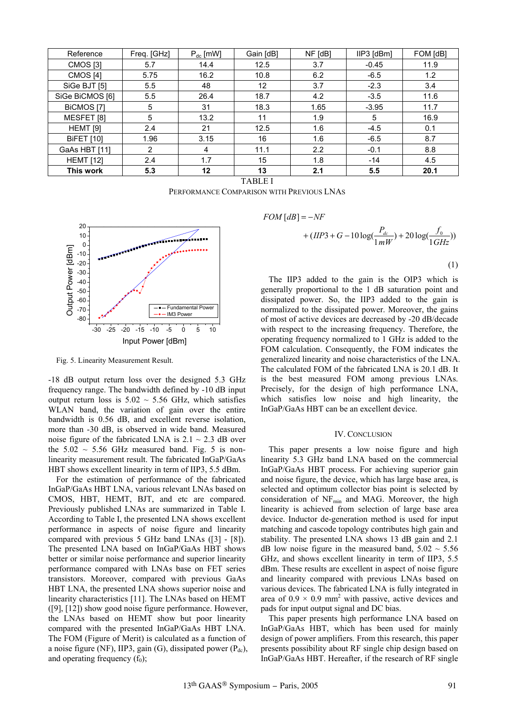| Reference         | Freq. [GHz] | $P_{dc}$ [mW] | Gain [dB]         | NF [dB]          | IIP3 [dBm] | FOM [dB] |
|-------------------|-------------|---------------|-------------------|------------------|------------|----------|
| <b>CMOS</b> [3]   | 5.7         | 14.4          | 12.5              | 3.7              | $-0.45$    | 11.9     |
| <b>CMOS</b> [4]   | 5.75        | 16.2          | 10.8              | 6.2              | $-6.5$     | 1.2      |
| SiGe BJT [5]      | 5.5         | 48            | $12 \overline{ }$ | 3.7              | $-2.3$     | 3.4      |
| SiGe BiCMOS [6]   | 5.5         | 26.4          | 18.7              | 4.2              | $-3.5$     | 11.6     |
| BICMOS [7]        | 5           | 31            | 18.3              | 1.65             | $-3.95$    | 11.7     |
| MESFET [8]        | 5           | 13.2          | 11                | 1.9              | 5          | 16.9     |
| HEMT [9]          | 2.4         | 21            | 12.5              | 1.6              | $-4.5$     | 0.1      |
| <b>BiFET [10]</b> | 1.96        | 3.15          | 16                | 1.6              | $-6.5$     | 8.7      |
| GaAs HBT [11]     | 2           | 4             | 11.1              | $2.2\phantom{0}$ | $-0.1$     | 8.8      |
| <b>HEMT</b> [12]  | 2.4         | 1.7           | 15                | 1.8              | $-14$      | 4.5      |
| This work         | 5.3         | $12 \,$       | 13                | 2.1              | 5.5        | 20.1     |

TABLE I

PERFORMANCE COMPARISON WITH PREVIOUS LNAS



Fig. 5. Linearity Measurement Result.

-18 dB output return loss over the designed 5.3 GHz frequency range. The bandwidth defined by -10 dB input output return loss is  $5.02 \sim 5.56$  GHz, which satisfies WLAN band, the variation of gain over the entire bandwidth is 0.56 dB, and excellent reverse isolation, more than -30 dB, is observed in wide band. Measured noise figure of the fabricated LNA is  $2.1 \sim 2.3$  dB over the  $5.02 \sim 5.56$  GHz measured band. Fig. 5 is nonlinearity measurement result. The fabricated InGaP/GaAs HBT shows excellent linearity in term of IIP3, 5.5 dBm.

For the estimation of performance of the fabricated InGaP/GaAs HBT LNA, various relevant LNAs based on CMOS, HBT, HEMT, BJT, and etc are compared. Previously published LNAs are summarized in Table I. According to Table I, the presented LNA shows excellent performance in aspects of noise figure and linearity compared with previous 5 GHz band LNAs ([3] - [8]). The presented LNA based on InGaP/GaAs HBT shows better or similar noise performance and superior linearity performance compared with LNAs base on FET series transistors. Moreover, compared with previous GaAs HBT LNA, the presented LNA shows superior noise and linearity characteristics [11]. The LNAs based on HEMT ([9], [12]) show good noise figure performance. However, the LNAs based on HEMT show but poor linearity compared with the presented InGaP/GaAs HBT LNA. The FOM (Figure of Merit) is calculated as a function of a noise figure (NF), IIP3, gain (G), dissipated power  $(P_{dc})$ , and operating frequency  $(f_0)$ ;

$$
FOM[dB] = -NF
$$

$$
+(IIP3+G-10\log(\frac{P_{dc}}{1mW})+20\log(\frac{f_0}{1GHz}))
$$
\n(1)

The IIP3 added to the gain is the OIP3 which is generally proportional to the 1 dB saturation point and dissipated power. So, the IIP3 added to the gain is normalized to the dissipated power. Moreover, the gains of most of active devices are decreased by -20 dB/decade with respect to the increasing frequency. Therefore, the operating frequency normalized to 1 GHz is added to the FOM calculation. Consequently, the FOM indicates the generalized linearity and noise characteristics of the LNA. The calculated FOM of the fabricated LNA is 20.1 dB. It is the best measured FOM among previous LNAs. Precisely, for the design of high performance LNA, which satisfies low noise and high linearity, the InGaP/GaAs HBT can be an excellent device.

# IV. CONCLUSION

This paper presents a low noise figure and high linearity 5.3 GHz band LNA based on the commercial InGaP/GaAs HBT process. For achieving superior gain and noise figure, the device, which has large base area, is selected and optimum collector bias point is selected by consideration of  $NF_{min}$  and MAG. Moreover, the high linearity is achieved from selection of large base area device. Inductor de-generation method is used for input matching and cascode topology contributes high gain and stability. The presented LNA shows 13 dB gain and 2.1 dB low noise figure in the measured band,  $5.02 \sim 5.56$ GHz, and shows excellent linearity in term of IIP3, 5.5 dBm. These results are excellent in aspect of noise figure and linearity compared with previous LNAs based on various devices. The fabricated LNA is fully integrated in area of  $0.9 \times 0.9$  mm<sup>2</sup> with passive, active devices and pads for input output signal and DC bias.

This paper presents high performance LNA based on InGaP/GaAs HBT, which has been used for mainly design of power amplifiers. From this research, this paper presents possibility about RF single chip design based on InGaP/GaAs HBT. Hereafter, if the research of RF single